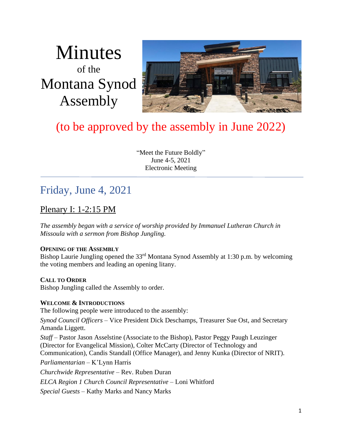# Minutes of the Montana Synod Assembly



# (to be approved by the assembly in June 2022)

"Meet the Future Boldly" June 4-5, 2021 Electronic Meeting

# Friday, June 4, 2021

### Plenary I: 1-2:15 PM

*The assembly began with a service of worship provided by Immanuel Lutheran Church in Missoula with a sermon from Bishop Jungling.*

#### **OPENING OF THE ASSEMBLY**

Bishop Laurie Jungling opened the 33<sup>rd</sup> Montana Synod Assembly at 1:30 p.m. by welcoming the voting members and leading an opening litany.

#### **CALL TO ORDER**

Bishop Jungling called the Assembly to order.

#### **WELCOME & INTRODUCTIONS**

The following people were introduced to the assembly:

*Synod Council Officers* – Vice President Dick Deschamps, Treasurer Sue Ost, and Secretary Amanda Liggett.

*Staff* – Pastor Jason Asselstine (Associate to the Bishop), Pastor Peggy Paugh Leuzinger (Director for Evangelical Mission), Colter McCarty (Director of Technology and Communication), Candis Standall (Office Manager), and Jenny Kunka (Director of NRIT).

*Parliamentarian* – K'Lynn Harris

*Churchwide Representative* – Rev. Ruben Duran

*ELCA Region 1 Church Council Representative –* Loni Whitford

*Special Guests* – Kathy Marks and Nancy Marks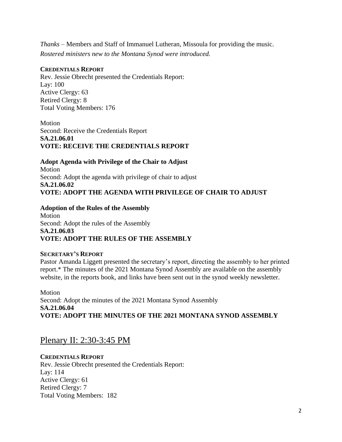*Thanks* – Members and Staff of Immanuel Lutheran, Missoula for providing the music. *Rostered ministers new to the Montana Synod were introduced.* 

#### **CREDENTIALS REPORT**

Rev. Jessie Obrecht presented the Credentials Report: Lay: 100 Active Clergy: 63 Retired Clergy: 8 Total Voting Members: 176

Motion Second: Receive the Credentials Report **SA.21.06.01 VOTE: RECEIVE THE CREDENTIALS REPORT**

**Adopt Agenda with Privilege of the Chair to Adjust** Motion Second: Adopt the agenda with privilege of chair to adjust **SA.21.06.02 VOTE: ADOPT THE AGENDA WITH PRIVILEGE OF CHAIR TO ADJUST**

#### **Adoption of the Rules of the Assembly**  Motion Second: Adopt the rules of the Assembly **SA.21.06.03 VOTE: ADOPT THE RULES OF THE ASSEMBLY**

#### **SECRETARY'S REPORT**

Pastor Amanda Liggett presented the secretary's report, directing the assembly to her printed report.\* The minutes of the 2021 Montana Synod Assembly are available on the assembly website, in the reports book, and links have been sent out in the synod weekly newsletter.

Motion Second: Adopt the minutes of the 2021 Montana Synod Assembly **SA.21.06.04 VOTE: ADOPT THE MINUTES OF THE 2021 MONTANA SYNOD ASSEMBLY**

Plenary II: 2:30-3:45 PM

#### **CREDENTIALS REPORT**

Rev. Jessie Obrecht presented the Credentials Report: Lay: 114 Active Clergy: 61 Retired Clergy: 7 Total Voting Members: 182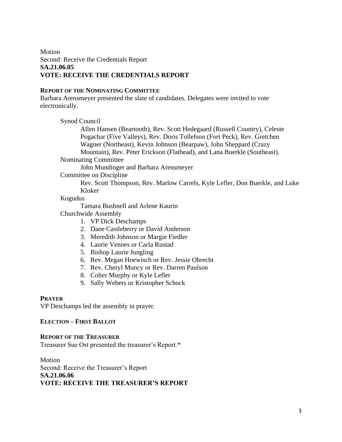#### Motion Second: Receive the Credentials Report **SA.21.06.05 VOTE: RECEIVE THE CREDENTIALS REPORT**

#### **REPORT OF THE NOMINATING COMMITTEE**

Barbara Arensmeyer presented the slate of candidates. Delegates were invited to vote electronically.

Synod Council

Allen Hansen (Beartooth), Rev. Scott Hedegaard (Russell Country), Celeste Pogachar (Five Valleys), Rev. Doris Tollefson (Fort Peck), Rev. Gretchen Wagner (Northeast), Kevin Johnson (Bearpaw), John Sheppard (Crazy Mountain), Rev. Peter Erickson (Flathead), and Lana Buerkle (Southeast).

Nominating Committee

John Mundinger and Barbara Arensmeyer

Committee on Discipline

Rev. Scott Thompson, Rev. Marlow Carrels, Kyle Lefler, Don Buerkle, and Luke Kloker

#### Kogudus

Tamara Bushnell and Arlene Kaurin

Churchwide Assembly

- 1. VP Dick Deschamps
- 2. Dane Castleberry or David Anderson
- 3. Meredith Johnson or Margie Fiedler
- 4. Laurie Vennes or Carla Rustad
- 5. Bishop Laurie Jungling
- 6. Rev. Megan Hoewisch or Rev. Jessie Obrecht
- 7. Rev. Cheryl Muncy or Rev. Darren Paulson
- 8. Colter Murphy or Kyle Lefler
- 9. Sally Webers or Kristopher Schock

#### **PRAYER**

VP Deschamps led the assembly in prayer.

#### **ELECTION – FIRST BALLOT**

#### **REPORT OF THE TREASURER**

Treasurer Sue Ost presented the treasurer's Report.\*

Motion Second: Receive the Treasurer's Report **SA.21.06.06 VOTE: RECEIVE THE TREASURER'S REPORT**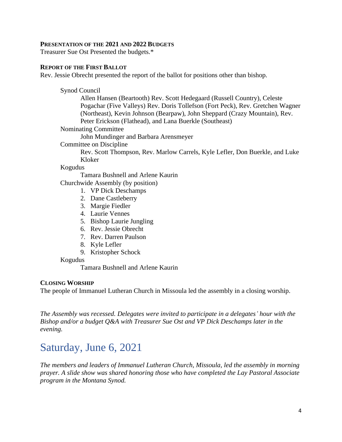#### **PRESENTATION OF THE 2021 AND 2022 BUDGETS**

Treasurer Sue Ost Presented the budgets.\*

#### **REPORT OF THE FIRST BALLOT**

Rev. Jessie Obrecht presented the report of the ballot for positions other than bishop.

Synod Council

Allen Hansen (Beartooth) Rev. Scott Hedegaard (Russell Country), Celeste Pogachar (Five Valleys) Rev. Doris Tollefson (Fort Peck), Rev. Gretchen Wagner (Northeast), Kevin Johnson (Bearpaw), John Sheppard (Crazy Mountain), Rev. Peter Erickson (Flathead), and Lana Buerkle (Southeast)

Nominating Committee

John Mundinger and Barbara Arensmeyer

Committee on Discipline

Rev. Scott Thompson, Rev. Marlow Carrels, Kyle Lefler, Don Buerkle, and Luke Kloker

Kogudus

Tamara Bushnell and Arlene Kaurin

Churchwide Assembly (by position)

- 1. VP Dick Deschamps
- 2. Dane Castleberry
- 3. Margie Fiedler
- 4. Laurie Vennes
- 5. Bishop Laurie Jungling
- 6. Rev. Jessie Obrecht
- 7. Rev. Darren Paulson
- 8. Kyle Lefler
- 9. Kristopher Schock

#### Kogudus

Tamara Bushnell and Arlene Kaurin

#### **CLOSING WORSHIP**

The people of Immanuel Lutheran Church in Missoula led the assembly in a closing worship.

*The Assembly was recessed. Delegates were invited to participate in a delegates' hour with the Bishop and/or a budget Q&A with Treasurer Sue Ost and VP Dick Deschamps later in the evening.*

# Saturday, June 6, 2021

*The members and leaders of Immanuel Lutheran Church, Missoula, led the assembly in morning prayer. A slide show was shared honoring those who have completed the Lay Pastoral Associate program in the Montana Synod.*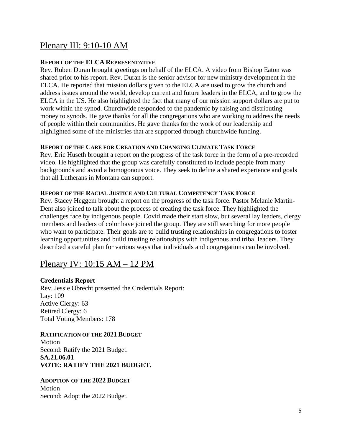### Plenary III: 9:10-10 AM

#### **REPORT OF THE ELCA REPRESENTATIVE**

Rev. Ruben Duran brought greetings on behalf of the ELCA. A video from Bishop Eaton was shared prior to his report. Rev. Duran is the senior advisor for new ministry development in the ELCA. He reported that mission dollars given to the ELCA are used to grow the church and address issues around the world, develop current and future leaders in the ELCA, and to grow the ELCA in the US. He also highlighted the fact that many of our mission support dollars are put to work within the synod. Churchwide responded to the pandemic by raising and distributing money to synods. He gave thanks for all the congregations who are working to address the needs of people within their communities. He gave thanks for the work of our leadership and highlighted some of the ministries that are supported through churchwide funding.

#### **REPORT OF THE CARE FOR CREATION AND CHANGING CLIMATE TASK FORCE**

Rev. Eric Huseth brought a report on the progress of the task force in the form of a pre-recorded video. He highlighted that the group was carefully constituted to include people from many backgrounds and avoid a homogonous voice. They seek to define a shared experience and goals that all Lutherans in Montana can support.

#### **REPORT OF THE RACIAL JUSTICE AND CULTURAL COMPETENCY TASK FORCE**

Rev. Stacey Heggem brought a report on the progress of the task force. Pastor Melanie Martin-Dent also joined to talk about the process of creating the task force. They highlighted the challenges face by indigenous people. Covid made their start slow, but several lay leaders, clergy members and leaders of color have joined the group. They are still searching for more people who want to participate. Their goals are to build trusting relationships in congregations to foster learning opportunities and build trusting relationships with indigenous and tribal leaders. They described a careful plan for various ways that individuals and congregations can be involved.

### Plenary IV: 10:15 AM – 12 PM

#### **Credentials Report**

Rev. Jessie Obrecht presented the Credentials Report: Lay: 109 Active Clergy: 63 Retired Clergy: 6 Total Voting Members: 178

#### **RATIFICATION OF THE 2021 BUDGET**

Motion Second: Ratify the 2021 Budget. **SA.21.06.01 VOTE: RATIFY THE 2021 BUDGET.**

#### **ADOPTION OF THE 2022 BUDGET** Motion Second: Adopt the 2022 Budget.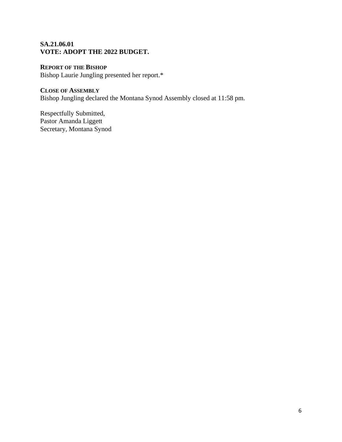#### **SA.21.06.01 VOTE: ADOPT THE 2022 BUDGET.**

#### **REPORT OF THE BISHOP**

Bishop Laurie Jungling presented her report.\*

### **CLOSE OF ASSEMBLY**

Bishop Jungling declared the Montana Synod Assembly closed at 11:58 pm.

Respectfully Submitted, Pastor Amanda Liggett Secretary, Montana Synod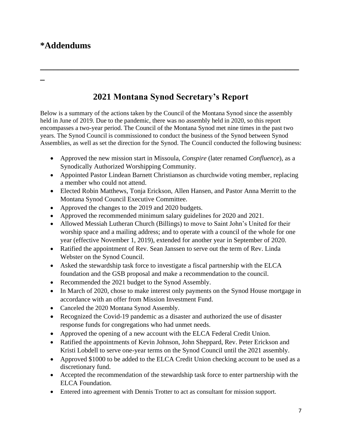## **\*Addendums**

**\_**

# **2021 Montana Synod Secretary's Report**

**\_\_\_\_\_\_\_\_\_\_\_\_\_\_\_\_\_\_\_\_\_\_\_\_\_\_\_\_\_\_\_\_\_\_\_\_\_\_\_\_\_\_\_\_\_\_\_\_\_\_\_\_\_\_\_\_\_\_**

Below is a summary of the actions taken by the Council of the Montana Synod since the assembly held in June of 2019. Due to the pandemic, there was no assembly held in 2020, so this report encompasses a two-year period. The Council of the Montana Synod met nine times in the past two years. The Synod Council is commissioned to conduct the business of the Synod between Synod Assemblies, as well as set the direction for the Synod. The Council conducted the following business:

- Approved the new mission start in Missoula, *Conspire* (later renamed *Confluence*)*,* as a Synodically Authorized Worshipping Community.
- Appointed Pastor Lindean Barnett Christianson as churchwide voting member, replacing a member who could not attend.
- Elected Robin Matthews, Tonja Erickson, Allen Hansen, and Pastor Anna Merritt to the Montana Synod Council Executive Committee.
- Approved the changes to the 2019 and 2020 budgets.
- Approved the recommended minimum salary guidelines for 2020 and 2021.
- Allowed Messiah Lutheran Church (Billings) to move to Saint John's United for their worship space and a mailing address; and to operate with a council of the whole for one year (effective November 1, 2019), extended for another year in September of 2020.
- Ratified the appointment of Rev. Sean Janssen to serve out the term of Rev. Linda Webster on the Synod Council.
- Asked the stewardship task force to investigate a fiscal partnership with the ELCA foundation and the GSB proposal and make a recommendation to the council.
- Recommended the 2021 budget to the Synod Assembly.
- In March of 2020, chose to make interest only payments on the Synod House mortgage in accordance with an offer from Mission Investment Fund.
- Canceled the 2020 Montana Synod Assembly.
- Recognized the Covid-19 pandemic as a disaster and authorized the use of disaster response funds for congregations who had unmet needs.
- Approved the opening of a new account with the ELCA Federal Credit Union.
- Ratified the appointments of Kevin Johnson, John Sheppard, Rev. Peter Erickson and Kristi Lobdell to serve one-year terms on the Synod Council until the 2021 assembly.
- Approved \$1000 to be added to the ELCA Credit Union checking account to be used as a discretionary fund.
- Accepted the recommendation of the stewardship task force to enter partnership with the ELCA Foundation.
- Entered into agreement with Dennis Trotter to act as consultant for mission support.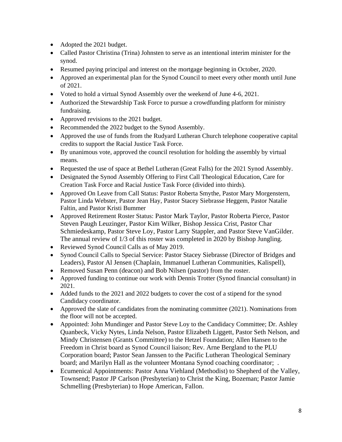- Adopted the 2021 budget.
- Called Pastor Christina (Trina) Johnsten to serve as an intentional interim minister for the synod.
- Resumed paying principal and interest on the mortgage beginning in October, 2020.
- Approved an experimental plan for the Synod Council to meet every other month until June of 2021.
- Voted to hold a virtual Synod Assembly over the weekend of June 4-6, 2021.
- Authorized the Stewardship Task Force to pursue a crowdfunding platform for ministry fundraising.
- Approved revisions to the 2021 budget.
- Recommended the 2022 budget to the Synod Assembly.
- Approved the use of funds from the Rudyard Lutheran Church telephone cooperative capital credits to support the Racial Justice Task Force.
- By unanimous vote, approved the council resolution for holding the assembly by virtual means.
- Requested the use of space at Bethel Lutheran (Great Falls) for the 2021 Synod Assembly.
- Designated the Synod Assembly Offering to First Call Theological Education, Care for Creation Task Force and Racial Justice Task Force (divided into thirds).
- Approved On Leave from Call Status: Pastor Roberta Smythe, Pastor Mary Morgenstern, Pastor Linda Webster, Pastor Jean Hay, Pastor Stacey Siebrasse Heggem, Pastor Natalie Faltin, and Pastor Kristi Bummer
- Approved Retirement Roster Status: Pastor Mark Taylor, Pastor Roberta Pierce, Pastor Steven Paugh Leuzinger, Pastor Kim Wilker, Bishop Jessica Crist, Pastor Char Schmiedeskamp, Pastor Steve Loy, Pastor Larry Stappler, and Pastor Steve VanGilder. The annual review of 1/3 of this roster was completed in 2020 by Bishop Jungling.
- Reviewed Synod Council Calls as of May 2019.
- Synod Council Calls to Special Service: Pastor Stacey Siebrasse (Director of Bridges and Leaders), Pastor Al Jensen (Chaplain, Immanuel Lutheran Communities, Kalispell),
- Removed Susan Penn (deacon) and Bob Nilsen (pastor) from the roster.
- Approved funding to continue our work with Dennis Trotter (Synod financial consultant) in 2021.
- Added funds to the 2021 and 2022 budgets to cover the cost of a stipend for the synod Candidacy coordinator.
- Approved the slate of candidates from the nominating committee (2021). Nominations from the floor will not be accepted.
- Appointed: John Mundinger and Pastor Steve Loy to the Candidacy Committee; Dr. Ashley Quanbeck, Vicky Nytes, Linda Nelson, Pastor Elizabeth Liggett, Pastor Seth Nelson, and Mindy Christensen (Grants Committee) to the Hetzel Foundation; Allen Hansen to the Freedom in Christ board as Synod Council liaison; Rev. Arne Bergland to the PLU Corporation board; Pastor Sean Janssen to the Pacific Lutheran Theological Seminary board; and Marilyn Hall as the volunteer Montana Synod coaching coordinator; .
- Ecumenical Appointments: Pastor Anna Viehland (Methodist) to Shepherd of the Valley, Townsend; Pastor JP Carlson (Presbyterian) to Christ the King, Bozeman; Pastor Jamie Schmelling (Presbyterian) to Hope American, Fallon.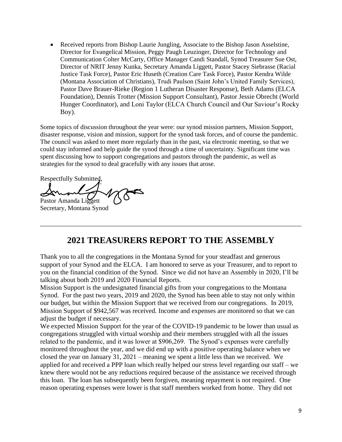• Received reports from Bishop Laurie Jungling, Associate to the Bishop Jason Asselstine, Director for Evangelical Mission, Peggy Paugh Leuzinger, Director for Technology and Communication Colter McCarty, Office Manager Candi Standall, Synod Treasurer Sue Ost, Director of NRIT Jenny Kunka, Secretary Amanda Liggett, Pastor Stacey Siebrasse (Racial Justice Task Force), Pastor Eric Huseth (Creation Care Task Force), Pastor Kendra Wilde (Montana Association of Christians), Trudi Paulson (Saint John's United Family Services), Pastor Dave Brauer-Rieke (Region 1 Lutheran Disaster Response), Beth Adams (ELCA Foundation), Dennis Trotter (Mission Support Consultant), Pastor Jessie Obrecht (World Hunger Coordinator), and Loni Taylor (ELCA Church Council and Our Saviour's Rocky Boy).

Some topics of discussion throughout the year were: our synod mission partners, Mission Support, disaster response, vision and mission, support for the synod task forces, and of course the pandemic. The council was asked to meet more regularly than in the past, via electronic meeting, so that we could stay informed and help guide the synod through a time of uncertainty. Significant time was spent discussing how to support congregations and pastors through the pandemic, as well as strategies for the synod to deal gracefully with any issues that arose.

Respectfully Submitted,

Pastor Amanda Liggett Secretary, Montana Synod

## **2021 TREASURERS REPORT TO THE ASSEMBLY**

\_\_\_\_\_\_\_\_\_\_\_\_\_\_\_\_\_\_\_\_\_\_\_\_\_\_\_\_\_\_\_\_\_\_\_\_\_\_\_\_\_\_\_\_\_\_\_\_\_\_\_\_\_\_\_\_\_\_\_\_\_\_\_\_\_\_\_\_\_\_\_\_\_\_\_\_\_\_

Thank you to all the congregations in the Montana Synod for your steadfast and generous support of your Synod and the ELCA. I am honored to serve as your Treasurer, and to report to you on the financial condition of the Synod. Since we did not have an Assembly in 2020, I'll be talking about both 2019 and 2020 Financial Reports.

Mission Support is the undesignated financial gifts from your congregations to the Montana Synod. For the past two years, 2019 and 2020, the Synod has been able to stay not only within our budget, but within the Mission Support that we received from our congregations. In 2019, Mission Support of \$942,567 was received. Income and expenses are monitored so that we can adjust the budget if necessary.

We expected Mission Support for the year of the COVID-19 pandemic to be lower than usual as congregations struggled with virtual worship and their members struggled with all the issues related to the pandemic, and it was lower at \$906,269. The Synod's expenses were carefully monitored throughout the year, and we did end up with a positive operating balance when we closed the year on January 31, 2021 – meaning we spent a little less than we received. We applied for and received a PPP loan which really helped our stress level regarding our staff – we knew there would not be any reductions required because of the assistance we received through this loan. The loan has subsequently been forgiven, meaning repayment is not required. One reason operating expenses were lower is that staff members worked from home. They did not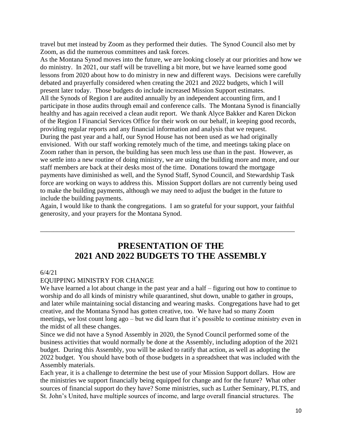travel but met instead by Zoom as they performed their duties. The Synod Council also met by Zoom, as did the numerous committees and task forces.

As the Montana Synod moves into the future, we are looking closely at our priorities and how we do ministry. In 2021, our staff will be travelling a bit more, but we have learned some good lessons from 2020 about how to do ministry in new and different ways. Decisions were carefully debated and prayerfully considered when creating the 2021 and 2022 budgets, which I will present later today. Those budgets do include increased Mission Support estimates. All the Synods of Region I are audited annually by an independent accounting firm, and I participate in those audits through email and conference calls. The Montana Synod is financially healthy and has again received a clean audit report. We thank Alyce Bakker and Karen Dickon of the Region I Financial Services Office for their work on our behalf, in keeping good records, providing regular reports and any financial information and analysis that we request. During the past year and a half, our Synod House has not been used as we had originally envisioned. With our staff working remotely much of the time, and meetings taking place on Zoom rather than in person, the building has seen much less use than in the past. However, as we settle into a new routine of doing ministry, we are using the building more and more, and our staff members are back at their desks most of the time. Donations toward the mortgage payments have diminished as well, and the Synod Staff, Synod Council, and Stewardship Task force are working on ways to address this. Mission Support dollars are not currently being used to make the building payments, although we may need to adjust the budget in the future to include the building payments.

Again, I would like to thank the congregations. I am so grateful for your support, your faithful generosity, and your prayers for the Montana Synod.

\_\_\_\_\_\_\_\_\_\_\_\_\_\_\_\_\_\_\_\_\_\_\_\_\_\_\_\_\_\_\_\_\_\_\_\_\_\_\_\_\_\_\_\_\_\_\_\_\_\_\_\_\_\_\_\_\_\_\_\_\_\_\_\_\_\_\_\_\_\_\_\_\_\_\_\_

## **PRESENTATION OF THE 2021 AND 2022 BUDGETS TO THE ASSEMBLY**

#### 6/4/21

#### EQUIPPING MINISTRY FOR CHANGE

We have learned a lot about change in the past year and a half – figuring out how to continue to worship and do all kinds of ministry while quarantined, shut down, unable to gather in groups, and later while maintaining social distancing and wearing masks. Congregations have had to get creative, and the Montana Synod has gotten creative, too. We have had so many Zoom meetings, we lost count long ago – but we did learn that it's possible to continue ministry even in the midst of all these changes.

Since we did not have a Synod Assembly in 2020, the Synod Council performed some of the business activities that would normally be done at the Assembly, including adoption of the 2021 budget. During this Assembly, you will be asked to ratify that action, as well as adopting the 2022 budget. You should have both of those budgets in a spreadsheet that was included with the Assembly materials.

Each year, it is a challenge to determine the best use of your Mission Support dollars. How are the ministries we support financially being equipped for change and for the future? What other sources of financial support do they have? Some ministries, such as Luther Seminary, PLTS, and St. John's United, have multiple sources of income, and large overall financial structures. The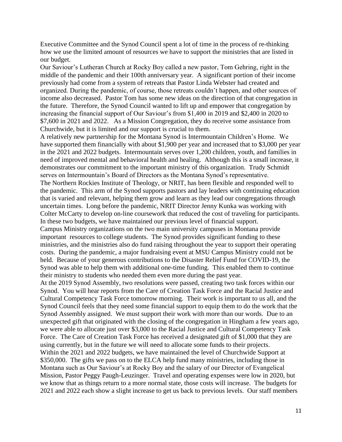Executive Committee and the Synod Council spent a lot of time in the process of re-thinking how we use the limited amount of resources we have to support the ministries that are listed in our budget.

Our Saviour's Lutheran Church at Rocky Boy called a new pastor, Tom Gehring, right in the middle of the pandemic and their 100th anniversary year. A significant portion of their income previously had come from a system of retreats that Pastor Linda Webster had created and organized. During the pandemic, of course, those retreats couldn't happen, and other sources of income also decreased. Pastor Tom has some new ideas on the direction of that congregation in the future. Therefore, the Synod Council wanted to lift up and empower that congregation by increasing the financial support of Our Saviour's from \$1,400 in 2019 and \$2,400 in 2020 to \$7,600 in 2021 and 2022. As a Mission Congregation, they do receive some assistance from Churchwide, but it is limited and our support is crucial to them.

A relatively new partnership for the Montana Synod is Intermountain Children's Home. We have supported them financially with about \$1,900 per year and increased that to \$3,000 per year in the 2021 and 2022 budgets. Intermountain serves over 1,200 children, youth, and families in need of improved mental and behavioral health and healing. Although this is a small increase, it demonstrates our commitment to the important ministry of this organization. Trudy Schmidt serves on Intermountain's Board of Directors as the Montana Synod's representative. The Northern Rockies Institute of Theology, or NRIT, has been flexible and responded well to the pandemic. This arm of the Synod supports pastors and lay leaders with continuing education that is varied and relevant, helping them grow and learn as they lead our congregations through uncertain times. Long before the pandemic, NRIT Director Jenny Kunka was working with Colter McCarty to develop on-line coursework that reduced the cost of traveling for participants. In these two budgets, we have maintained our previous level of financial support.

Campus Ministry organizations on the two main university campuses in Montana provide important resources to college students. The Synod provides significant funding to these ministries, and the ministries also do fund raising throughout the year to support their operating costs. During the pandemic, a major fundraising event at MSU Campus Ministry could not be held. Because of your generous contributions to the Disaster Relief Fund for COVID-19, the Synod was able to help them with additional one-time funding. This enabled them to continue their ministry to students who needed them even more during the past year.

At the 2019 Synod Assembly, two resolutions were passed, creating two task forces within our Synod. You will hear reports from the Care of Creation Task Force and the Racial Justice and Cultural Competency Task Force tomorrow morning. Their work is important to us all, and the Synod Council feels that they need some financial support to equip them to do the work that the Synod Assembly assigned. We must support their work with more than our words. Due to an unexpected gift that originated with the closing of the congregation in Hingham a few years ago, we were able to allocate just over \$3,000 to the Racial Justice and Cultural Competency Task Force. The Care of Creation Task Force has received a designated gift of \$1,000 that they are using currently, but in the future we will need to allocate some funds to their projects. Within the 2021 and 2022 budgets, we have maintained the level of Churchwide Support at \$350,000. The gifts we pass on to the ELCA help fund many ministries, including those in Montana such as Our Saviour's at Rocky Boy and the salary of our Director of Evangelical Mission, Pastor Peggy Paugh-Leuzinger. Travel and operating expenses were low in 2020, but we know that as things return to a more normal state, those costs will increase. The budgets for 2021 and 2022 each show a slight increase to get us back to previous levels. Our staff members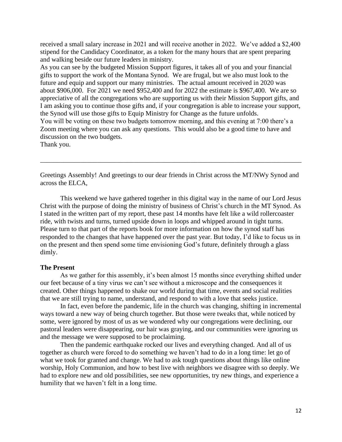received a small salary increase in 2021 and will receive another in 2022. We've added a \$2,400 stipend for the Candidacy Coordinator, as a token for the many hours that are spent preparing and walking beside our future leaders in ministry.

As you can see by the budgeted Mission Support figures, it takes all of you and your financial gifts to support the work of the Montana Synod. We are frugal, but we also must look to the future and equip and support our many ministries. The actual amount received in 2020 was about \$906,000. For 2021 we need \$952,400 and for 2022 the estimate is \$967,400. We are so appreciative of all the congregations who are supporting us with their Mission Support gifts, and I am asking you to continue those gifts and, if your congregation is able to increase your support, the Synod will use those gifts to Equip Ministry for Change as the future unfolds. You will be voting on these two budgets tomorrow morning, and this evening at 7:00 there's a Zoom meeting where you can ask any questions. This would also be a good time to have and discussion on the two budgets.

Thank you.

Greetings Assembly! And greetings to our dear friends in Christ across the MT/NWy Synod and across the ELCA,

\_\_\_\_\_\_\_\_\_\_\_\_\_\_\_\_\_\_\_\_\_\_\_\_\_\_\_\_\_\_\_\_\_\_\_\_\_\_\_\_\_\_\_\_\_\_\_\_\_\_\_\_\_\_\_\_\_\_\_\_\_\_\_\_\_\_\_\_\_\_\_\_\_\_\_\_\_\_

This weekend we have gathered together in this digital way in the name of our Lord Jesus Christ with the purpose of doing the ministry of business of Christ's church in the MT Synod. As I stated in the written part of my report, these past 14 months have felt like a wild rollercoaster ride, with twists and turns, turned upside down in loops and whipped around in tight turns. Please turn to that part of the reports book for more information on how the synod staff has responded to the changes that have happened over the past year. But today, I'd like to focus us in on the present and then spend some time envisioning God's future, definitely through a glass dimly.

#### **The Present**

As we gather for this assembly, it's been almost 15 months since everything shifted under our feet because of a tiny virus we can't see without a microscope and the consequences it created. Other things happened to shake our world during that time, events and social realities that we are still trying to name, understand, and respond to with a love that seeks justice.

In fact, even before the pandemic, life in the church was changing, shifting in incremental ways toward a new way of being church together. But those were tweaks that, while noticed by some, were ignored by most of us as we wondered why our congregations were declining, our pastoral leaders were disappearing, our hair was graying, and our communities were ignoring us and the message we were supposed to be proclaiming.

Then the pandemic earthquake rocked our lives and everything changed. And all of us together as church were forced to do something we haven't had to do in a long time: let go of what we took for granted and change. We had to ask tough questions about things like online worship, Holy Communion, and how to best live with neighbors we disagree with so deeply. We had to explore new and old possibilities, see new opportunities, try new things, and experience a humility that we haven't felt in a long time.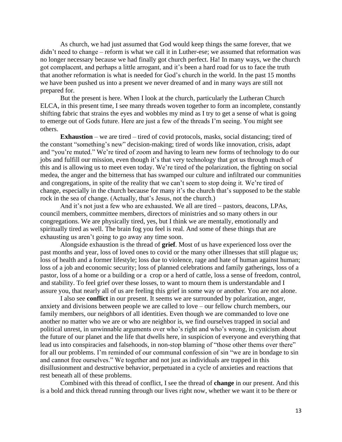As church, we had just assumed that God would keep things the same forever, that we didn't need to change – reform is what we call it in Luther-ese; we assumed that reformation was no longer necessary because we had finally got church perfect. Ha! In many ways, we the church got complacent, and perhaps a little arrogant, and it's been a hard road for us to face the truth that another reformation is what is needed for God's church in the world. In the past 15 months we have been pushed us into a present we never dreamed of and in many ways are still not prepared for.

But the present is here. When I look at the church, particularly the Lutheran Church ELCA, in this present time, I see many threads woven together to form an incomplete, constantly shifting fabric that strains the eyes and wobbles my mind as I try to get a sense of what is going to emerge out of Gods future. Here are just a few of the threads I'm seeing. You might see others.

**Exhaustion** – we are tired – tired of covid protocols, masks, social distancing; tired of the constant "something's new" decision-making; tired of words like innovation, crisis, adapt and "you're muted." We're tired of zoom and having to learn new forms of technology to do our jobs and fulfill our mission, even though it's that very technology that got us through much of this and is allowing us to meet even today. We're tired of the polarization, the fighting on social medea, the anger and the bitterness that has swamped our culture and infiltrated our communities and congregations, in spite of the reality that we can't seem to stop doing it. We're tired of change, especially in the church because for many it's the church that's supposed to be the stable rock in the sea of change. (Actually, that's Jesus, not the church.)

And it's not just a few who are exhausted. We all are tired – pastors, deacons, LPAs, council members, committee members, directors of ministries and so many others in our congregations. We are physically tired, yes, but I think we are mentally, emotionally and spiritually tired as well. The brain fog you feel is real. And some of these things that are exhausting us aren't going to go away any time soon.

Alongside exhaustion is the thread of **grief**. Most of us have experienced loss over the past months and year, loss of loved ones to covid or the many other illnesses that still plague us; loss of health and a former lifestyle; loss due to violence, rage and hate of human against human; loss of a job and economic security; loss of planned celebrations and family gatherings, loss of a pastor, loss of a home or a building or a crop or a herd of cattle, loss a sense of freedom, control, and stability. To feel grief over these losses, to want to mourn them is understandable and I assure you, that nearly all of us are feeling this grief in some way or another. You are not alone.

I also see **conflict** in our present. It seems we are surrounded by polarization, anger, anxiety and divisions between people we are called to love – our fellow church members, our family members, our neighbors of all identities. Even though we are commanded to love one another no matter who we are or who are neighbor is, we find ourselves trapped in social and political unrest, in unwinnable arguments over who's right and who's wrong, in cynicism about the future of our planet and the life that dwells here, in suspicion of everyone and everything that lead us into conspiracies and falsehoods, in non-stop blaming of "those other thems over there" for all our problems. I'm reminded of our communal confession of sin "we are in bondage to sin and cannot free ourselves." We together and not just as individuals are trapped in this disillusionment and destructive behavior, perpetuated in a cycle of anxieties and reactions that rest beneath all of these problems.

Combined with this thread of conflict, I see the thread of **change** in our present. And this is a bold and thick thread running through our lives right now, whether we want it to be there or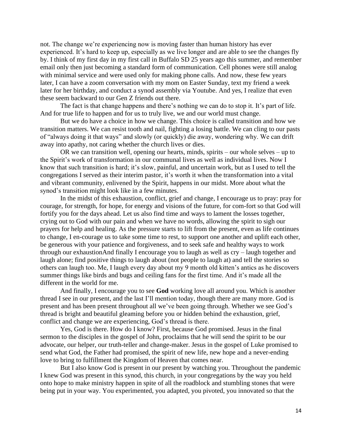not. The change we're experiencing now is moving faster than human history has ever experienced. It's hard to keep up, especially as we live longer and are able to see the changes fly by. I think of my first day in my first call in Buffalo SD 25 years ago this summer, and remember email only then just becoming a standard form of communication. Cell phones were still analog with minimal service and were used only for making phone calls. And now, these few years later, I can have a zoom conversation with my mom on Easter Sunday, text my friend a week later for her birthday, and conduct a synod assembly via Youtube. And yes, I realize that even these seem backward to our Gen Z friends out there.

The fact is that change happens and there's nothing we can do to stop it. It's part of life. And for true life to happen and for us to truly live, we and our world must change.

But we do have a choice in how we change. This choice is called transition and how we transition matters. We can resist tooth and nail, fighting a losing battle. We can cling to our pasts of "always doing it that ways" and slowly (or quickly) die away, wondering why. We can drift away into apathy, not caring whether the church lives or dies.

OR we can transition well, opening our hearts, minds, spirits – our whole selves – up to the Spirit's work of transformation in our communal lives as well as individual lives. Now I know that such transition is hard; it's slow, painful, and uncertain work, but as I used to tell the congregations I served as their interim pastor, it's worth it when the transformation into a vital and vibrant community, enlivened by the Spirit, happens in our midst. More about what the synod's transition might look like in a few minutes.

In the midst of this exhaustion, conflict, grief and change, I encourage us to pray: pray for courage, for strength, for hope, for energy and visions of the future, for com-fort so that God will fortify you for the days ahead. Let us also find time and ways to lament the losses together, crying out to God with our pain and when we have no words, allowing the spirit to sigh our prayers for help and healing. As the pressure starts to lift from the present, even as life continues to change, I en-courage us to take some time to rest, to support one another and uplift each other, be generous with your patience and forgiveness, and to seek safe and healthy ways to work through our exhaustionAnd finally I encourage you to laugh as well as cry – laugh together and laugh alone; find positive things to laugh about (not people to laugh at) and tell the stories so others can laugh too. Me, I laugh every day about my 9 month old kitten's antics as he discovers summer things like birds and bugs and ceiling fans for the first time. And it's made all the different in the world for me.

And finally, I encourage you to see **God** working love all around you. Which is another thread I see in our present, and the last I'll mention today, though there are many more. God is present and has been present throughout all we've been going through. Whether we see God's thread is bright and beautiful gleaming before you or hidden behind the exhaustion, grief, conflict and change we are experiencing, God's thread is there.

Yes, God is there. How do I know? First, because God promised. Jesus in the final sermon to the disciples in the gospel of John, proclaims that he will send the spirit to be our advocate, our helper, our truth-teller and change-maker. Jesus in the gospel of Luke promised to send what God, the Father had promised, the spirit of new life, new hope and a never-ending love to bring to fulfillment the Kingdom of Heaven that comes near.

But I also know God is present in our present by watching you. Throughout the pandemic I knew God was present in this synod, this church, in your congregations by the way you held onto hope to make ministry happen in spite of all the roadblock and stumbling stones that were being put in your way. You experimented, you adapted, you pivoted, you innovated so that the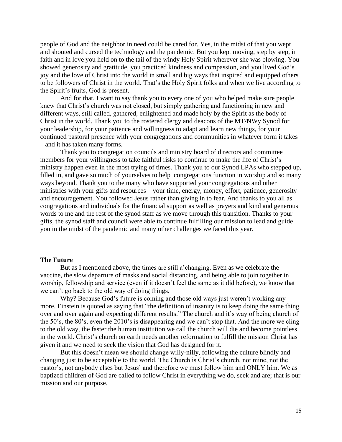people of God and the neighbor in need could be cared for. Yes, in the midst of that you wept and shouted and cursed the technology and the pandemic. But you kept moving, step by step, in faith and in love you held on to the tail of the windy Holy Spirit wherever she was blowing. You showed generosity and gratitude, you practiced kindness and compassion, and you lived God's joy and the love of Christ into the world in small and big ways that inspired and equipped others to be followers of Christ in the world. That's the Holy Spirit folks and when we live according to the Spirit's fruits, God is present.

And for that, I want to say thank you to every one of you who helped make sure people knew that Christ's church was not closed, but simply gathering and functioning in new and different ways, still called, gathered, enlightened and made holy by the Spirit as the body of Christ in the world. Thank you to the rostered clergy and deacons of the MT/NWy Synod for your leadership, for your patience and willingness to adapt and learn new things, for your continued pastoral presence with your congregations and communities in whatever form it takes – and it has taken many forms.

Thank you to congregation councils and ministry board of directors and committee members for your willingness to take faithful risks to continue to make the life of Christ's ministry happen even in the most trying of times. Thank you to our Synod LPAs who stepped up, filled in, and gave so much of yourselves to help congregations function in worship and so many ways beyond. Thank you to the many who have supported your congregations and other ministries with your gifts and resources – your time, energy, money, effort, patience, generosity and encouragement. You followed Jesus rather than giving in to fear. And thanks to you all as congregations and individuals for the financial support as well as prayers and kind and generous words to me and the rest of the synod staff as we move through this transition. Thanks to your gifts, the synod staff and council were able to continue fulfilling our mission to lead and guide you in the midst of the pandemic and many other challenges we faced this year.

#### **The Future**

But as I mentioned above, the times are still a'changing. Even as we celebrate the vaccine, the slow departure of masks and social distancing, and being able to join together in worship, fellowship and service (even if it doesn't feel the same as it did before), we know that we can't go back to the old way of doing things.

Why? Because God's future is coming and those old ways just weren't working any more. Einstein is quoted as saying that "the definition of insanity is to keep doing the same thing over and over again and expecting different results." The church and it's way of being church of the 50's, the 80's, even the 2010's is disappearing and we can't stop that. And the more we cling to the old way, the faster the human institution we call the church will die and become pointless in the world. Christ's church on earth needs another reformation to fulfill the mission Christ has given it and we need to seek the vision that God has designed for it.

But this doesn't mean we should change willy-nilly, following the culture blindly and changing just to be acceptable to the world. The Church is Christ's church, not mine, not the pastor's, not anybody elses but Jesus' and therefore we must follow him and ONLY him. We as baptized children of God are called to follow Christ in everything we do, seek and are; that is our mission and our purpose.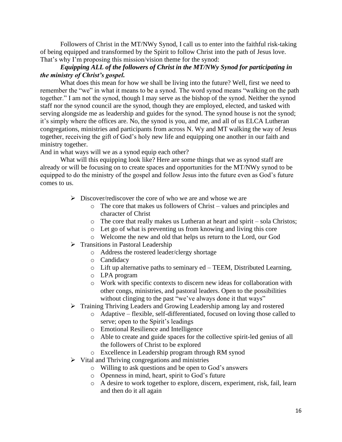Followers of Christ in the MT/NWy Synod, I call us to enter into the faithful risk-taking of being equipped and transformed by the Spirit to follow Christ into the path of Jesus love. That's why I'm proposing this mission/vision theme for the synod:

#### *Equipping ALL of the followers of Christ in the MT/NWy Synod for participating in the ministry of Christ's gospel.*

What does this mean for how we shall be living into the future? Well, first we need to remember the "we" in what it means to be a synod. The word synod means "walking on the path together." I am not the synod, though I may serve as the bishop of the synod. Neither the synod staff nor the synod council are the synod, though they are employed, elected, and tasked with serving alongside me as leadership and guides for the synod. The synod house is not the synod; it's simply where the offices are. No, the synod is you, and me, and all of us ELCA Lutheran congregations, ministries and participants from across N. Wy and MT walking the way of Jesus together, receiving the gift of God's holy new life and equipping one another in our faith and ministry together.

And in what ways will we as a synod equip each other?

What will this equipping look like? Here are some things that we as synod staff are already or will be focusing on to create spaces and opportunities for the MT/NWy synod to be equipped to do the ministry of the gospel and follow Jesus into the future even as God's future comes to us.

- $\triangleright$  Discover/rediscover the core of who we are and whose we are
	- o The core that makes us followers of Christ values and principles and character of Christ
	- o The core that really makes us Lutheran at heart and spirit sola Christos;
	- o Let go of what is preventing us from knowing and living this core
	- o Welcome the new and old that helps us return to the Lord, our God
- ➢ Transitions in Pastoral Leadership
	- o Address the rostered leader/clergy shortage
	- o Candidacy
	- o Lift up alternative paths to seminary ed TEEM, Distributed Learning,
	- o LPA program
	- o Work with specific contexts to discern new ideas for collaboration with other congs, ministries, and pastoral leaders. Open to the possibilities without clinging to the past "we've always done it that ways"
- ➢ Training Thriving Leaders and Growing Leadership among lay and rostered
	- o Adaptive flexible, self-differentiated, focused on loving those called to serve; open to the Spirit's leadings
	- o Emotional Resilience and Intelligence
	- o Able to create and guide spaces for the collective spirit-led genius of all the followers of Christ to be explored
	- o Excellence in Leadership program through RM synod
- $\triangleright$  Vital and Thriving congregations and ministries
	- o Willing to ask questions and be open to God's answers
	- o Openness in mind, heart, spirit to God's future
	- o A desire to work together to explore, discern, experiment, risk, fail, learn and then do it all again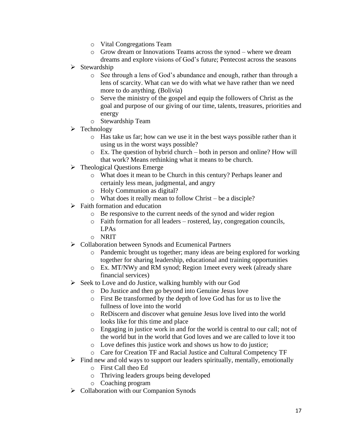- o Vital Congregations Team
- o Grow dream or Innovations Teams across the synod where we dream dreams and explore visions of God's future; Pentecost across the seasons
- ➢ Stewardship
	- o See through a lens of God's abundance and enough, rather than through a lens of scarcity. What can we do with what we have rather than we need more to do anything. (Bolivia)
	- o Serve the ministry of the gospel and equip the followers of Christ as the goal and purpose of our giving of our time, talents, treasures, priorities and energy
	- o Stewardship Team
- ➢ Technology
	- o Has take us far; how can we use it in the best ways possible rather than it using us in the worst ways possible?
	- o Ex. The question of hybrid church both in person and online? How will that work? Means rethinking what it means to be church.
- ➢ Theological Questions Emerge
	- o What does it mean to be Church in this century? Perhaps leaner and certainly less mean, judgmental, and angry
	- o Holy Communion as digital?
	- o What does it really mean to follow Christ be a disciple?
- $\triangleright$  Faith formation and education
	- o Be responsive to the current needs of the synod and wider region
	- o Faith formation for all leaders rostered, lay, congregation councils, LPAs
	- o NRIT
- ➢ Collaboration between Synods and Ecumenical Partners
	- o Pandemic brought us together; many ideas are being explored for working together for sharing leadership, educational and training opportunities
	- o Ex. MT/NWy and RM synod; Region 1meet every week (already share financial services)
- ➢ Seek to Love and do Justice, walking humbly with our God
	- o Do Justice and then go beyond into Genuine Jesus love
	- o First Be transformed by the depth of love God has for us to live the fullness of love into the world
	- o ReDiscern and discover what genuine Jesus love lived into the world looks like for this time and place
	- o Engaging in justice work in and for the world is central to our call; not of the world but in the world that God loves and we are called to love it too
	- o Love defines this justice work and shows us how to do justice;
	- o Care for Creation TF and Racial Justice and Cultural Competency TF
- $\triangleright$  Find new and old ways to support our leaders spiritually, mentally, emotionally
	- o First Call theo Ed
	- o Thriving leaders groups being developed
	- o Coaching program
- ➢ Collaboration with our Companion Synods